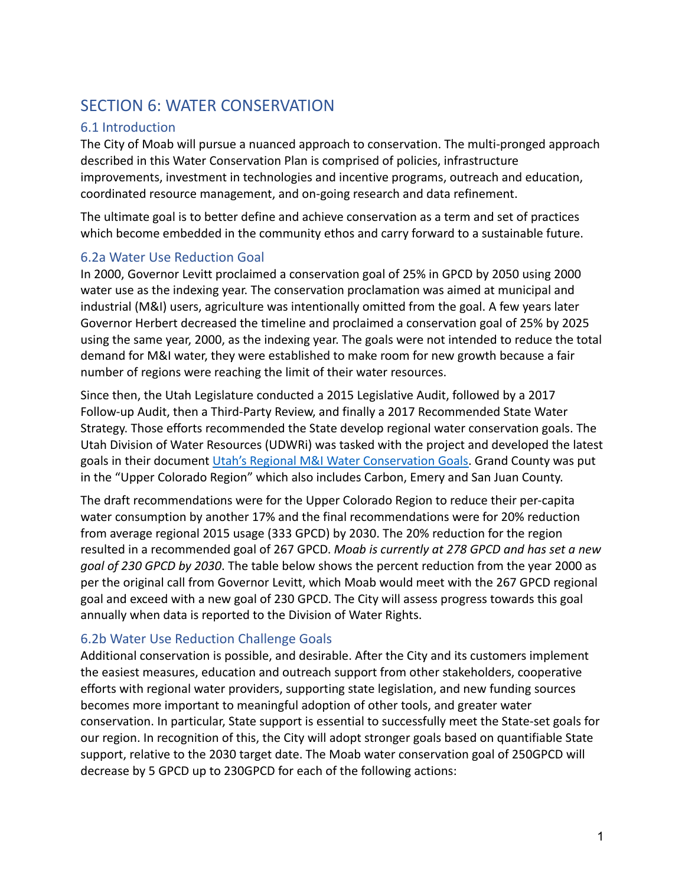# SECTION 6: WATER CONSERVATION

# 6.1 Introduction

The City of Moab will pursue a nuanced approach to conservation. The multi-pronged approach described in this Water Conservation Plan is comprised of policies, infrastructure improvements, investment in technologies and incentive programs, outreach and education, coordinated resource management, and on-going research and data refinement.

The ultimate goal is to better define and achieve conservation as a term and set of practices which become embedded in the community ethos and carry forward to a sustainable future.

### 6.2a Water Use Reduction Goal

In 2000, Governor Levitt proclaimed a conservation goal of 25% in GPCD by 2050 using 2000 water use as the indexing year. The conservation proclamation was aimed at municipal and industrial (M&I) users, agriculture was intentionally omitted from the goal. A few years later Governor Herbert decreased the timeline and proclaimed a conservation goal of 25% by 2025 using the same year, 2000, as the indexing year. The goals were not intended to reduce the total demand for M&I water, they were established to make room for new growth because a fair number of regions were reaching the limit of their water resources.

Since then, the Utah Legislature conducted a 2015 Legislative Audit, followed by a 2017 Follow-up Audit, then a Third-Party Review, and finally a 2017 Recommended State Water Strategy. Those efforts recommended the State develop regional water conservation goals. The Utah Division of Water Resources (UDWRi) was tasked with the project and developed the latest goals in their document [Utah's Regional M&I Water](https://water.utah.gov/wp-content/uploads/2019/12/Regional-Water-Conservation-Goals-Report-Final.pdf) Conservation Goals. Grand County was put in the "Upper Colorado Region" which also includes Carbon, Emery and San Juan County.

The draft recommendations were for the Upper Colorado Region to reduce their per-capita water consumption by another 17% and the final recommendations were for 20% reduction from average regional 2015 usage (333 GPCD) by 2030. The 20% reduction for the region resulted in a recommended goal of 267 GPCD. *Moab is currently at 278 GPCD and has set a new goal of 230 GPCD by 2030*. The table below shows the percent reduction from the year 2000 as per the original call from Governor Levitt, which Moab would meet with the 267 GPCD regional goal and exceed with a new goal of 230 GPCD. The City will assess progress towards this goal annually when data is reported to the Division of Water Rights.

# 6.2b Water Use Reduction Challenge Goals

Additional conservation is possible, and desirable. After the City and its customers implement the easiest measures, education and outreach support from other stakeholders, cooperative efforts with regional water providers, supporting state legislation, and new funding sources becomes more important to meaningful adoption of other tools, and greater water conservation. In particular, State support is essential to successfully meet the State-set goals for our region. In recognition of this, the City will adopt stronger goals based on quantifiable State support, relative to the 2030 target date. The Moab water conservation goal of 250GPCD will decrease by 5 GPCD up to 230GPCD for each of the following actions: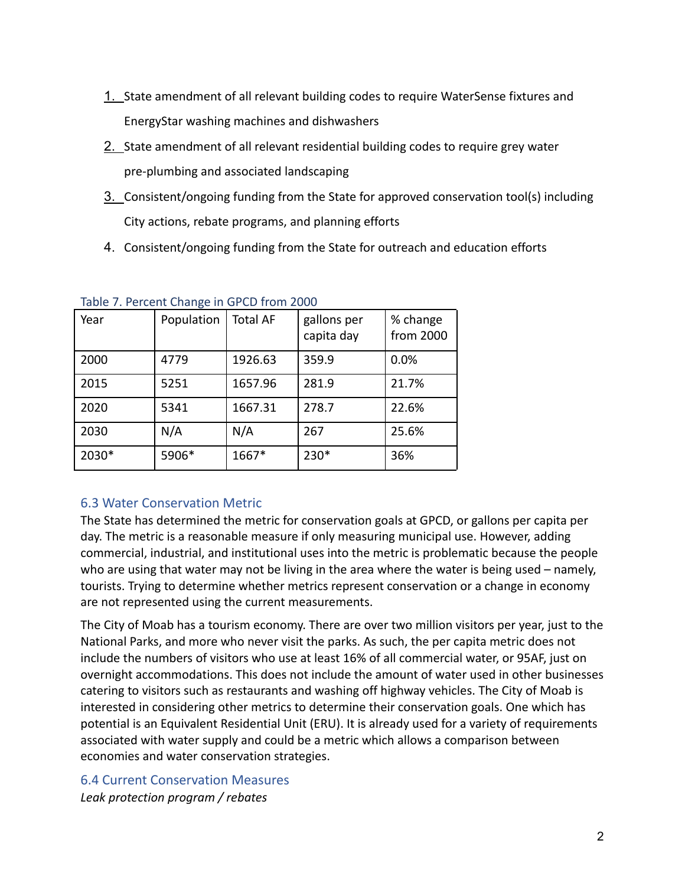- 1. State amendment of all relevant building codes to require WaterSense fixtures and EnergyStar washing machines and dishwashers
- 2. State amendment of all relevant residential building codes to require grey water pre-plumbing and associated landscaping
- 3. Consistent/ongoing funding from the State for approved conservation tool(s) including City actions, rebate programs, and planning efforts
- 4. Consistent/ongoing funding from the State for outreach and education efforts

| Year  | Population | <b>Total AF</b> | gallons per<br>capita day | % change<br>from 2000 |
|-------|------------|-----------------|---------------------------|-----------------------|
| 2000  | 4779       | 1926.63         | 359.9                     | 0.0%                  |
| 2015  | 5251       | 1657.96         | 281.9                     | 21.7%                 |
| 2020  | 5341       | 1667.31         | 278.7                     | 22.6%                 |
| 2030  | N/A        | N/A             | 267                       | 25.6%                 |
| 2030* | 5906*      | 1667*           | 230*                      | 36%                   |

|  |  |  |  |  | Table 7. Percent Change in GPCD from 2000 |  |
|--|--|--|--|--|-------------------------------------------|--|
|--|--|--|--|--|-------------------------------------------|--|

# 6.3 Water Conservation Metric

The State has determined the metric for conservation goals at GPCD, or gallons per capita per day. The metric is a reasonable measure if only measuring municipal use. However, adding commercial, industrial, and institutional uses into the metric is problematic because the people who are using that water may not be living in the area where the water is being used – namely, tourists. Trying to determine whether metrics represent conservation or a change in economy are not represented using the current measurements.

The City of Moab has a tourism economy. There are over two million visitors per year, just to the National Parks, and more who never visit the parks. As such, the per capita metric does not include the numbers of visitors who use at least 16% of all commercial water, or 95AF, just on overnight accommodations. This does not include the amount of water used in other businesses catering to visitors such as restaurants and washing off highway vehicles. The City of Moab is interested in considering other metrics to determine their conservation goals. One which has potential is an Equivalent Residential Unit (ERU). It is already used for a variety of requirements associated with water supply and could be a metric which allows a comparison between economies and water conservation strategies.

6.4 Current Conservation Measures *Leak protection program / rebates*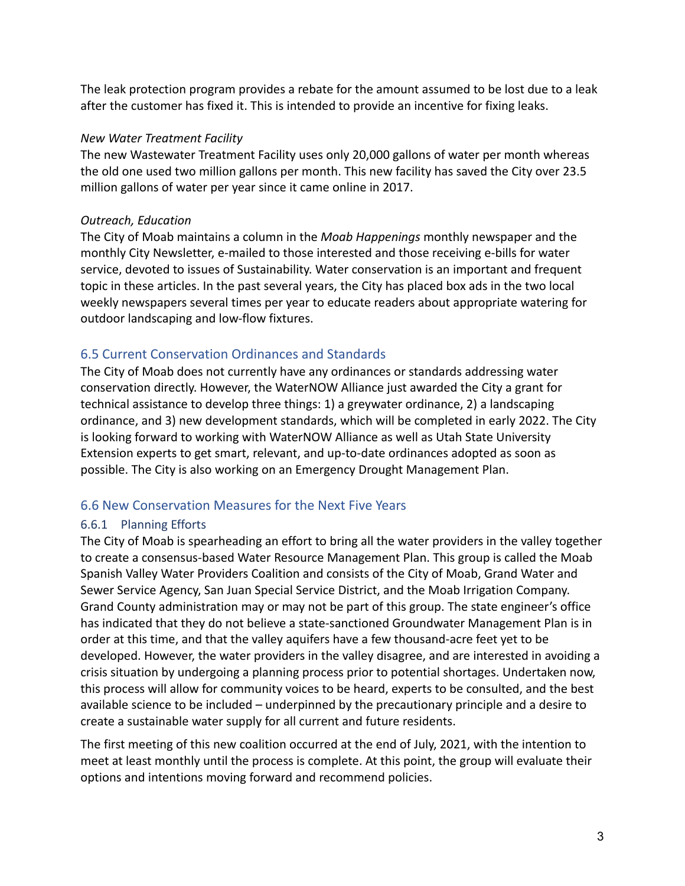The leak protection program provides a rebate for the amount assumed to be lost due to a leak after the customer has fixed it. This is intended to provide an incentive for fixing leaks.

#### *New Water Treatment Facility*

The new Wastewater Treatment Facility uses only 20,000 gallons of water per month whereas the old one used two million gallons per month. This new facility has saved the City over 23.5 million gallons of water per year since it came online in 2017.

### *Outreach, Education*

The City of Moab maintains a column in the *Moab Happenings* monthly newspaper and the monthly City Newsletter, e-mailed to those interested and those receiving e-bills for water service, devoted to issues of Sustainability. Water conservation is an important and frequent topic in these articles. In the past several years, the City has placed box ads in the two local weekly newspapers several times per year to educate readers about appropriate watering for outdoor landscaping and low-flow fixtures.

### 6.5 Current Conservation Ordinances and Standards

The City of Moab does not currently have any ordinances or standards addressing water conservation directly. However, the WaterNOW Alliance just awarded the City a grant for technical assistance to develop three things: 1) a greywater ordinance, 2) a landscaping ordinance, and 3) new development standards, which will be completed in early 2022. The City is looking forward to working with WaterNOW Alliance as well as Utah State University Extension experts to get smart, relevant, and up-to-date ordinances adopted as soon as possible. The City is also working on an Emergency Drought Management Plan.

### 6.6 New Conservation Measures for the Next Five Years

### 6.6.1 Planning Efforts

The City of Moab is spearheading an effort to bring all the water providers in the valley together to create a consensus-based Water Resource Management Plan. This group is called the Moab Spanish Valley Water Providers Coalition and consists of the City of Moab, Grand Water and Sewer Service Agency, San Juan Special Service District, and the Moab Irrigation Company. Grand County administration may or may not be part of this group. The state engineer's office has indicated that they do not believe a state-sanctioned Groundwater Management Plan is in order at this time, and that the valley aquifers have a few thousand-acre feet yet to be developed. However, the water providers in the valley disagree, and are interested in avoiding a crisis situation by undergoing a planning process prior to potential shortages. Undertaken now, this process will allow for community voices to be heard, experts to be consulted, and the best available science to be included – underpinned by the precautionary principle and a desire to create a sustainable water supply for all current and future residents.

The first meeting of this new coalition occurred at the end of July, 2021, with the intention to meet at least monthly until the process is complete. At this point, the group will evaluate their options and intentions moving forward and recommend policies.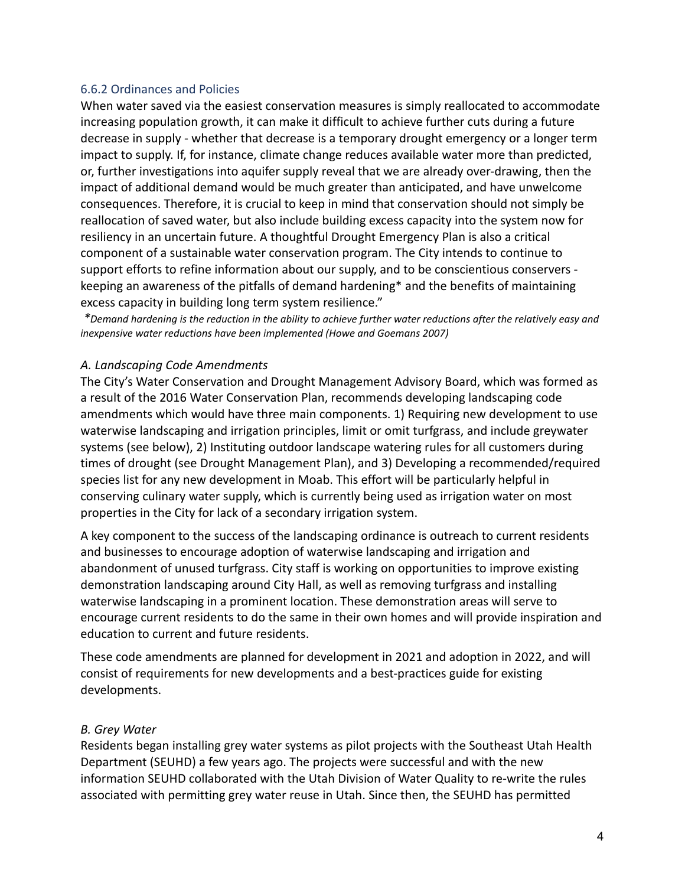#### 6.6.2 Ordinances and Policies

When water saved via the easiest conservation measures is simply reallocated to accommodate increasing population growth, it can make it difficult to achieve further cuts during a future decrease in supply - whether that decrease is a temporary drought emergency or a longer term impact to supply. If, for instance, climate change reduces available water more than predicted, or, further investigations into aquifer supply reveal that we are already over-drawing, then the impact of additional demand would be much greater than anticipated, and have unwelcome consequences. Therefore, it is crucial to keep in mind that conservation should not simply be reallocation of saved water, but also include building excess capacity into the system now for resiliency in an uncertain future. A thoughtful Drought Emergency Plan is also a critical component of a sustainable water conservation program. The City intends to continue to support efforts to refine information about our supply, and to be conscientious conservers keeping an awareness of the pitfalls of demand hardening\* and the benefits of maintaining excess capacity in building long term system resilience."

\*Demand hardening is the reduction in the ability to achieve further water reductions after the relatively easy and *inexpensive water reductions have been implemented (Howe and Goemans 2007)*

#### *A. Landscaping Code Amendments*

The City's Water Conservation and Drought Management Advisory Board, which was formed as a result of the 2016 Water Conservation Plan, recommends developing landscaping code amendments which would have three main components. 1) Requiring new development to use waterwise landscaping and irrigation principles, limit or omit turfgrass, and include greywater systems (see below), 2) Instituting outdoor landscape watering rules for all customers during times of drought (see Drought Management Plan), and 3) Developing a recommended/required species list for any new development in Moab. This effort will be particularly helpful in conserving culinary water supply, which is currently being used as irrigation water on most properties in the City for lack of a secondary irrigation system.

A key component to the success of the landscaping ordinance is outreach to current residents and businesses to encourage adoption of waterwise landscaping and irrigation and abandonment of unused turfgrass. City staff is working on opportunities to improve existing demonstration landscaping around City Hall, as well as removing turfgrass and installing waterwise landscaping in a prominent location. These demonstration areas will serve to encourage current residents to do the same in their own homes and will provide inspiration and education to current and future residents.

These code amendments are planned for development in 2021 and adoption in 2022, and will consist of requirements for new developments and a best-practices guide for existing developments.

#### *B. Grey Water*

Residents began installing grey water systems as pilot projects with the Southeast Utah Health Department (SEUHD) a few years ago. The projects were successful and with the new information SEUHD collaborated with the Utah Division of Water Quality to re-write the rules associated with permitting grey water reuse in Utah. Since then, the SEUHD has permitted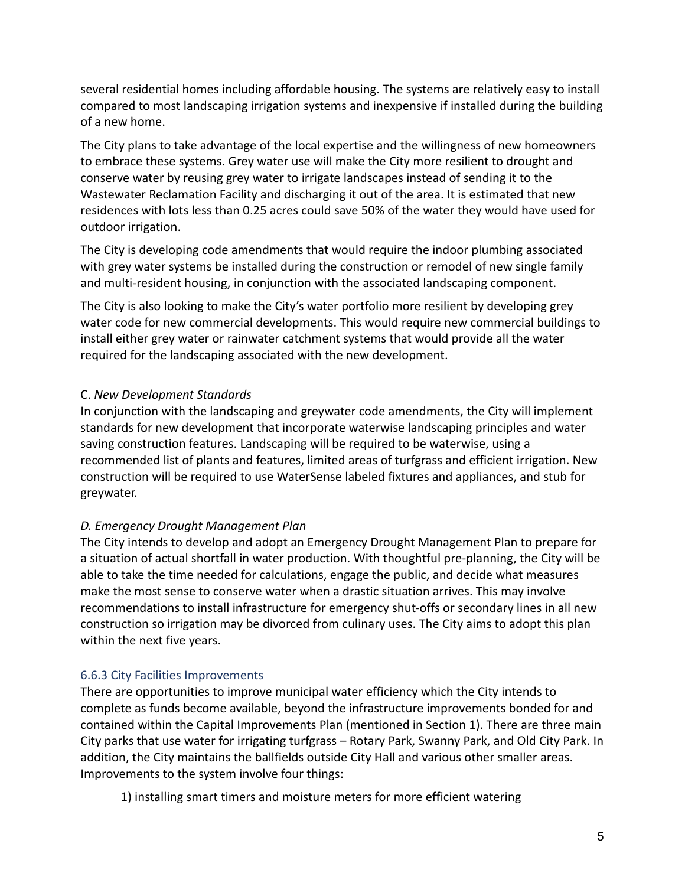several residential homes including affordable housing. The systems are relatively easy to install compared to most landscaping irrigation systems and inexpensive if installed during the building of a new home.

The City plans to take advantage of the local expertise and the willingness of new homeowners to embrace these systems. Grey water use will make the City more resilient to drought and conserve water by reusing grey water to irrigate landscapes instead of sending it to the Wastewater Reclamation Facility and discharging it out of the area. It is estimated that new residences with lots less than 0.25 acres could save 50% of the water they would have used for outdoor irrigation.

The City is developing code amendments that would require the indoor plumbing associated with grey water systems be installed during the construction or remodel of new single family and multi-resident housing, in conjunction with the associated landscaping component.

The City is also looking to make the City's water portfolio more resilient by developing grey water code for new commercial developments. This would require new commercial buildings to install either grey water or rainwater catchment systems that would provide all the water required for the landscaping associated with the new development.

### C. *New Development Standards*

In conjunction with the landscaping and greywater code amendments, the City will implement standards for new development that incorporate waterwise landscaping principles and water saving construction features. Landscaping will be required to be waterwise, using a recommended list of plants and features, limited areas of turfgrass and efficient irrigation. New construction will be required to use WaterSense labeled fixtures and appliances, and stub for greywater.

# *D. Emergency Drought Management Plan*

The City intends to develop and adopt an Emergency Drought Management Plan to prepare for a situation of actual shortfall in water production. With thoughtful pre-planning, the City will be able to take the time needed for calculations, engage the public, and decide what measures make the most sense to conserve water when a drastic situation arrives. This may involve recommendations to install infrastructure for emergency shut-offs or secondary lines in all new construction so irrigation may be divorced from culinary uses. The City aims to adopt this plan within the next five years.

### 6.6.3 City Facilities Improvements

There are opportunities to improve municipal water efficiency which the City intends to complete as funds become available, beyond the infrastructure improvements bonded for and contained within the Capital Improvements Plan (mentioned in Section 1). There are three main City parks that use water for irrigating turfgrass – Rotary Park, Swanny Park, and Old City Park. In addition, the City maintains the ballfields outside City Hall and various other smaller areas. Improvements to the system involve four things:

1) installing smart timers and moisture meters for more efficient watering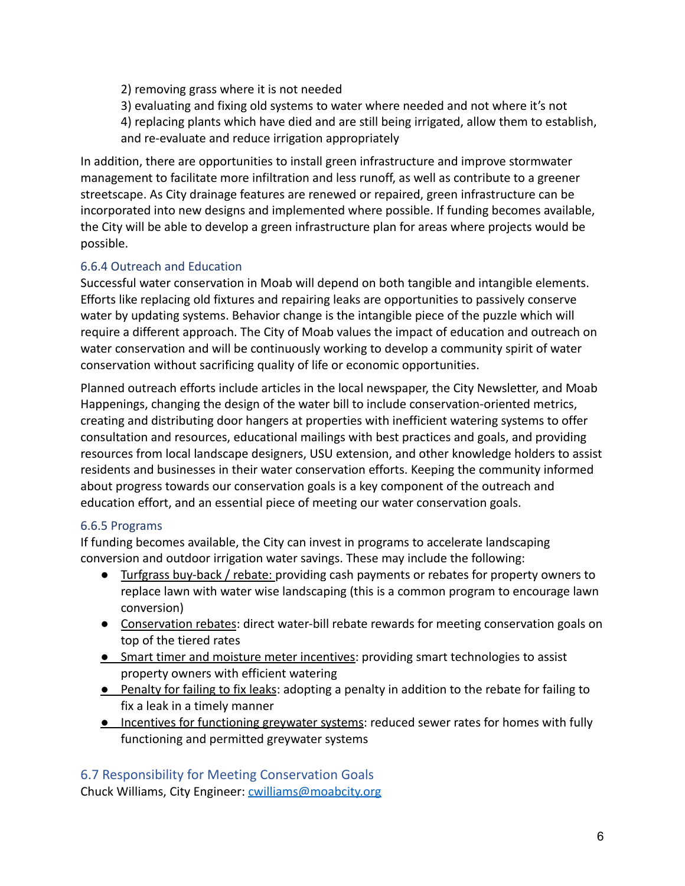- 2) removing grass where it is not needed
- 3) evaluating and fixing old systems to water where needed and not where it's not

4) replacing plants which have died and are still being irrigated, allow them to establish, and re-evaluate and reduce irrigation appropriately

In addition, there are opportunities to install green infrastructure and improve stormwater management to facilitate more infiltration and less runoff, as well as contribute to a greener streetscape. As City drainage features are renewed or repaired, green infrastructure can be incorporated into new designs and implemented where possible. If funding becomes available, the City will be able to develop a green infrastructure plan for areas where projects would be possible.

### 6.6.4 Outreach and Education

Successful water conservation in Moab will depend on both tangible and intangible elements. Efforts like replacing old fixtures and repairing leaks are opportunities to passively conserve water by updating systems. Behavior change is the intangible piece of the puzzle which will require a different approach. The City of Moab values the impact of education and outreach on water conservation and will be continuously working to develop a community spirit of water conservation without sacrificing quality of life or economic opportunities.

Planned outreach efforts include articles in the local newspaper, the City Newsletter, and Moab Happenings, changing the design of the water bill to include conservation-oriented metrics, creating and distributing door hangers at properties with inefficient watering systems to offer consultation and resources, educational mailings with best practices and goals, and providing resources from local landscape designers, USU extension, and other knowledge holders to assist residents and businesses in their water conservation efforts. Keeping the community informed about progress towards our conservation goals is a key component of the outreach and education effort, and an essential piece of meeting our water conservation goals.

# 6.6.5 Programs

If funding becomes available, the City can invest in programs to accelerate landscaping conversion and outdoor irrigation water savings. These may include the following:

- Turfgrass buy-back / rebate: providing cash payments or rebates for property owners to replace lawn with water wise landscaping (this is a common program to encourage lawn conversion)
- Conservation rebates: direct water-bill rebate rewards for meeting conservation goals on top of the tiered rates
- Smart timer and moisture meter incentives: providing smart technologies to assist property owners with efficient watering
- Penalty for failing to fix leaks: adopting a penalty in addition to the rebate for failing to fix a leak in a timely manner
- **•** Incentives for functioning greywater systems: reduced sewer rates for homes with fully functioning and permitted greywater systems

# 6.7 Responsibility for Meeting Conservation Goals

Chuck Williams, City Engineer: [cwilliams@moabcity.org](mailto:cwilliams@moabcity.org)